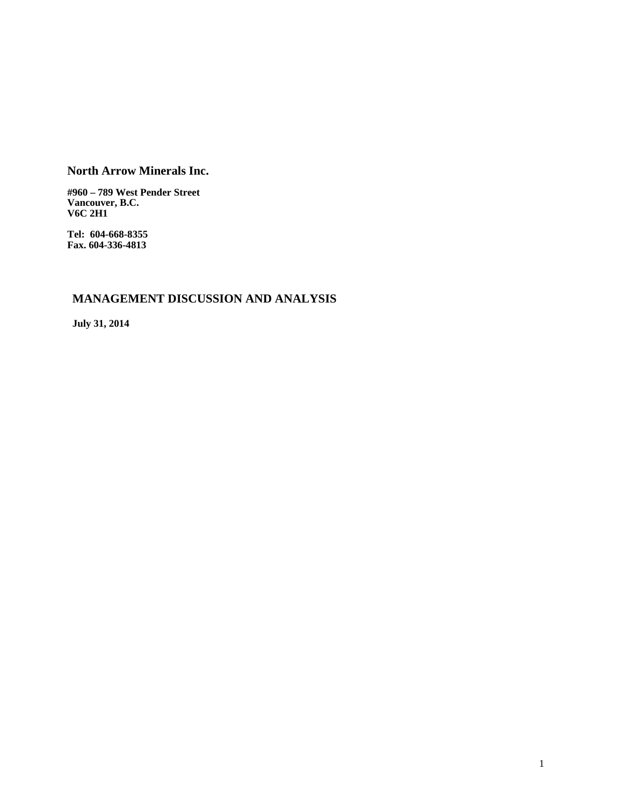# **North Arrow Minerals Inc.**

**#960 – 789 West Pender Street Vancouver, B.C. V6C 2H1** 

**Tel: 604-668-8355 Fax. 604-336-4813** 

# **MANAGEMENT DISCUSSION AND ANALYSIS**

**July 31, 2014**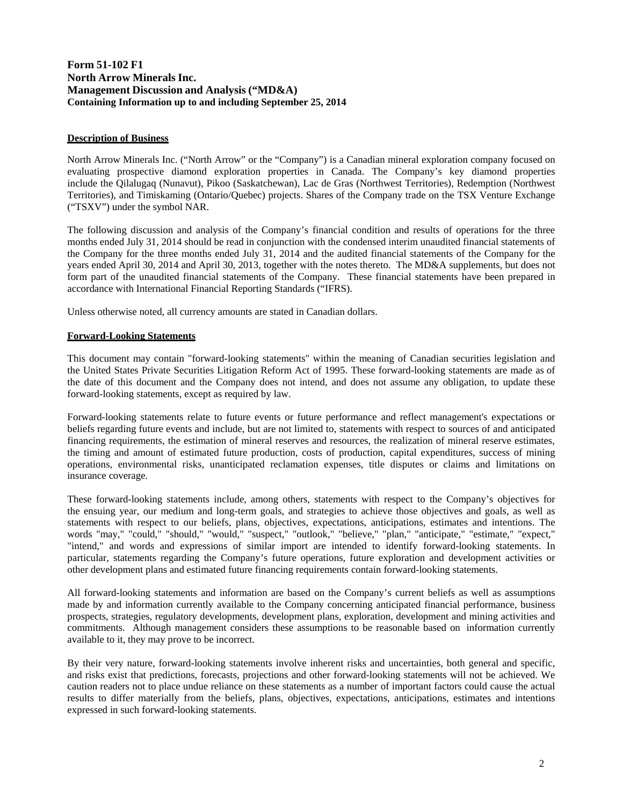# **Form 51-102 F1 North Arrow Minerals Inc. Management Discussion and Analysis ("MD&A) Containing Information up to and including September 25, 2014**

# **Description of Business**

North Arrow Minerals Inc. ("North Arrow" or the "Company") is a Canadian mineral exploration company focused on evaluating prospective diamond exploration properties in Canada. The Company's key diamond properties include the Qilalugaq (Nunavut), Pikoo (Saskatchewan), Lac de Gras (Northwest Territories), Redemption (Northwest Territories), and Timiskaming (Ontario/Quebec) projects. Shares of the Company trade on the TSX Venture Exchange ("TSXV") under the symbol NAR.

The following discussion and analysis of the Company's financial condition and results of operations for the three months ended July 31, 2014 should be read in conjunction with the condensed interim unaudited financial statements of the Company for the three months ended July 31, 2014 and the audited financial statements of the Company for the years ended April 30, 2014 and April 30, 2013, together with the notes thereto. The MD&A supplements, but does not form part of the unaudited financial statements of the Company. These financial statements have been prepared in accordance with International Financial Reporting Standards ("IFRS).

Unless otherwise noted, all currency amounts are stated in Canadian dollars.

### **Forward-Looking Statements**

This document may contain "forward-looking statements" within the meaning of Canadian securities legislation and the United States Private Securities Litigation Reform Act of 1995. These forward-looking statements are made as of the date of this document and the Company does not intend, and does not assume any obligation, to update these forward-looking statements, except as required by law.

Forward-looking statements relate to future events or future performance and reflect management's expectations or beliefs regarding future events and include, but are not limited to, statements with respect to sources of and anticipated financing requirements, the estimation of mineral reserves and resources, the realization of mineral reserve estimates, the timing and amount of estimated future production, costs of production, capital expenditures, success of mining operations, environmental risks, unanticipated reclamation expenses, title disputes or claims and limitations on insurance coverage.

These forward-looking statements include, among others, statements with respect to the Company's objectives for the ensuing year, our medium and long-term goals, and strategies to achieve those objectives and goals, as well as statements with respect to our beliefs, plans, objectives, expectations, anticipations, estimates and intentions. The words "may," "could," "should," "would," "suspect," "outlook," "believe," "plan," "anticipate," "estimate," "expect," "intend," and words and expressions of similar import are intended to identify forward-looking statements. In particular, statements regarding the Company's future operations, future exploration and development activities or other development plans and estimated future financing requirements contain forward-looking statements.

All forward-looking statements and information are based on the Company's current beliefs as well as assumptions made by and information currently available to the Company concerning anticipated financial performance, business prospects, strategies, regulatory developments, development plans, exploration, development and mining activities and commitments. Although management considers these assumptions to be reasonable based on information currently available to it, they may prove to be incorrect.

By their very nature, forward-looking statements involve inherent risks and uncertainties, both general and specific, and risks exist that predictions, forecasts, projections and other forward-looking statements will not be achieved. We caution readers not to place undue reliance on these statements as a number of important factors could cause the actual results to differ materially from the beliefs, plans, objectives, expectations, anticipations, estimates and intentions expressed in such forward-looking statements.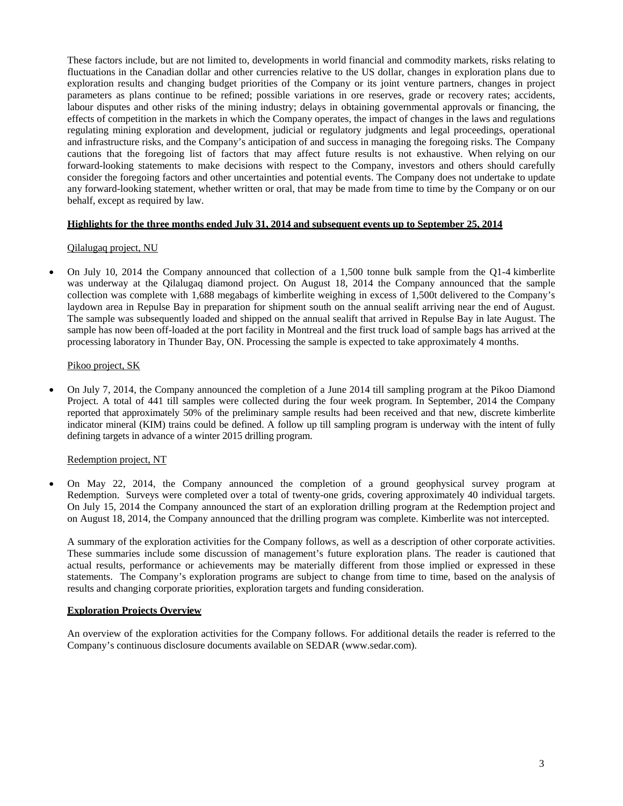These factors include, but are not limited to, developments in world financial and commodity markets, risks relating to fluctuations in the Canadian dollar and other currencies relative to the US dollar, changes in exploration plans due to exploration results and changing budget priorities of the Company or its joint venture partners, changes in project parameters as plans continue to be refined; possible variations in ore reserves, grade or recovery rates; accidents, labour disputes and other risks of the mining industry; delays in obtaining governmental approvals or financing, the effects of competition in the markets in which the Company operates, the impact of changes in the laws and regulations regulating mining exploration and development, judicial or regulatory judgments and legal proceedings, operational and infrastructure risks, and the Company's anticipation of and success in managing the foregoing risks. The Company cautions that the foregoing list of factors that may affect future results is not exhaustive. When relying on our forward-looking statements to make decisions with respect to the Company, investors and others should carefully consider the foregoing factors and other uncertainties and potential events. The Company does not undertake to update any forward-looking statement, whether written or oral, that may be made from time to time by the Company or on our behalf, except as required by law.

# **Highlights for the three months ended July 31, 2014 and subsequent events up to September 25, 2014**

# Qilalugaq project, NU

 On July 10, 2014 the Company announced that collection of a 1,500 tonne bulk sample from the Q1-4 kimberlite was underway at the Qilalugaq diamond project. On August 18, 2014 the Company announced that the sample collection was complete with 1,688 megabags of kimberlite weighing in excess of 1,500t delivered to the Company's laydown area in Repulse Bay in preparation for shipment south on the annual sealift arriving near the end of August. The sample was subsequently loaded and shipped on the annual sealift that arrived in Repulse Bay in late August. The sample has now been off-loaded at the port facility in Montreal and the first truck load of sample bags has arrived at the processing laboratory in Thunder Bay, ON. Processing the sample is expected to take approximately 4 months.

# Pikoo project, SK

 On July 7, 2014, the Company announced the completion of a June 2014 till sampling program at the Pikoo Diamond Project. A total of 441 till samples were collected during the four week program. In September, 2014 the Company reported that approximately 50% of the preliminary sample results had been received and that new, discrete kimberlite indicator mineral (KIM) trains could be defined. A follow up till sampling program is underway with the intent of fully defining targets in advance of a winter 2015 drilling program.

# Redemption project, NT

 On May 22, 2014, the Company announced the completion of a ground geophysical survey program at Redemption. Surveys were completed over a total of twenty-one grids, covering approximately 40 individual targets. On July 15, 2014 the Company announced the start of an exploration drilling program at the Redemption project and on August 18, 2014, the Company announced that the drilling program was complete. Kimberlite was not intercepted.

A summary of the exploration activities for the Company follows, as well as a description of other corporate activities. These summaries include some discussion of management's future exploration plans. The reader is cautioned that actual results, performance or achievements may be materially different from those implied or expressed in these statements. The Company's exploration programs are subject to change from time to time, based on the analysis of results and changing corporate priorities, exploration targets and funding consideration.

# **Exploration Projects Overview**

An overview of the exploration activities for the Company follows. For additional details the reader is referred to the Company's continuous disclosure documents available on SEDAR (www.sedar.com).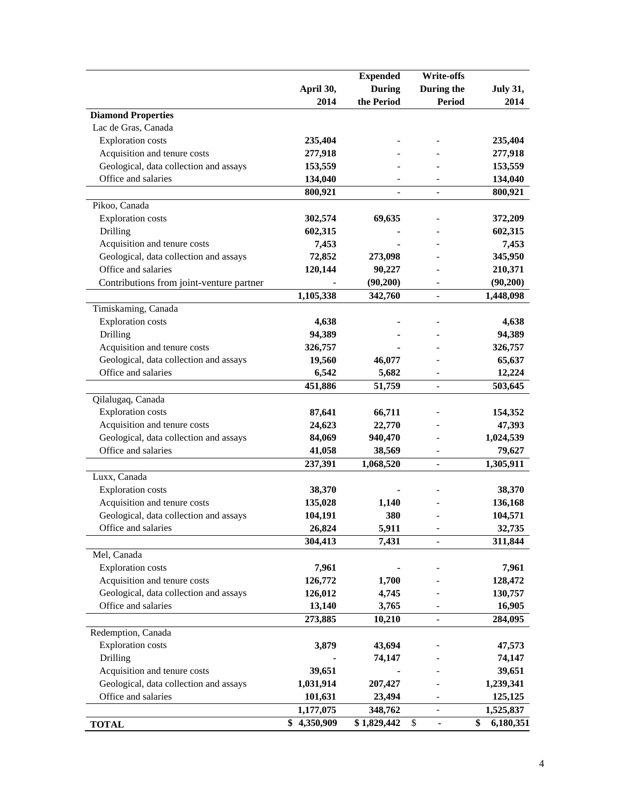|                                                               |                 | <b>Expended</b>          | <b>Write-offs</b>              |                 |
|---------------------------------------------------------------|-----------------|--------------------------|--------------------------------|-----------------|
|                                                               | April 30,       | <b>During</b>            | During the                     | <b>July 31,</b> |
|                                                               | 2014            | the Period               | <b>Period</b>                  | 2014            |
| <b>Diamond Properties</b>                                     |                 |                          |                                |                 |
| Lac de Gras, Canada                                           |                 |                          |                                |                 |
| <b>Exploration</b> costs                                      | 235,404         |                          |                                | 235,404         |
| Acquisition and tenure costs                                  | 277,918         |                          |                                | 277,918         |
| Geological, data collection and assays                        | 153,559         |                          |                                | 153,559         |
| Office and salaries                                           | 134,040         |                          |                                | 134,040         |
|                                                               | 800,921         | $\overline{\phantom{0}}$ | $\qquad \qquad \blacksquare$   | 800,921         |
| Pikoo, Canada                                                 |                 |                          |                                |                 |
| <b>Exploration</b> costs                                      | 302,574         | 69,635                   |                                | 372,209         |
| Drilling                                                      | 602,315         |                          |                                | 602,315         |
| Acquisition and tenure costs                                  | 7,453           |                          |                                | 7,453           |
| Geological, data collection and assays                        | 72,852          | 273,098                  |                                | 345,950         |
| Office and salaries                                           | 120,144         | 90,227                   |                                | 210,371         |
| Contributions from joint-venture partner                      |                 | (90, 200)                |                                | (90, 200)       |
|                                                               | 1,105,338       | 342,760                  | $\overline{\phantom{a}}$       | 1,448,098       |
| Timiskaming, Canada                                           |                 |                          |                                |                 |
| <b>Exploration</b> costs                                      | 4,638           |                          |                                | 4,638           |
| Drilling                                                      | 94,389          |                          |                                | 94,389          |
| Acquisition and tenure costs                                  | 326,757         |                          |                                | 326,757         |
| Geological, data collection and assays                        | 19,560          | 46,077                   |                                | 65,637          |
| Office and salaries                                           | 6,542           | 5,682                    |                                | 12,224          |
|                                                               | 451,886         | 51,759                   | $\frac{1}{2}$                  | 503,645         |
| Qilalugaq, Canada                                             |                 |                          |                                |                 |
| <b>Exploration costs</b>                                      | 87,641          | 66,711                   |                                | 154,352         |
| Acquisition and tenure costs                                  | 24,623          | 22,770                   |                                | 47,393          |
| Geological, data collection and assays                        | 84,069          | 940,470                  |                                | 1,024,539       |
| Office and salaries                                           | 41,058          | 38,569                   |                                | 79,627          |
|                                                               | 237,391         | 1,068,520                | $\overline{a}$                 | 1,305,911       |
| Luxx, Canada                                                  |                 |                          |                                |                 |
| <b>Exploration</b> costs                                      | 38,370          |                          |                                | 38,370          |
| Acquisition and tenure costs                                  | 135,028         | 1,140                    |                                | 136,168         |
| Geological, data collection and assays                        | 104,191         | 380                      |                                | 104,571         |
| Office and salaries                                           | 26,824          | 5,911                    | $\overline{\phantom{0}}$       | 32,735          |
|                                                               | 304,413         | 7,431                    | $\overline{\phantom{a}}$       | 311,844         |
| Mel, Canada                                                   |                 |                          |                                |                 |
| <b>Exploration costs</b>                                      | 7,961           |                          |                                | 7,961           |
| Acquisition and tenure costs                                  | 126,772         | 1,700                    |                                | 128,472         |
| Geological, data collection and assays                        | 126,012         | 4,745                    |                                | 130,757         |
| Office and salaries                                           | 13,140          | 3,765                    |                                | 16,905          |
|                                                               | 273,885         | 10,210                   | $\blacksquare$                 | 284,095         |
|                                                               |                 |                          |                                |                 |
| Redemption, Canada<br><b>Exploration</b> costs                |                 |                          |                                |                 |
|                                                               | 3,879           | 43,694                   |                                | 47,573          |
| Drilling                                                      |                 | 74,147                   |                                | 74,147          |
| Acquisition and tenure costs                                  | 39,651          |                          |                                | 39,651          |
| Geological, data collection and assays<br>Office and salaries | 1,031,914       | 207,427                  |                                | 1,239,341       |
|                                                               | 101,631         | 23,494                   |                                | 125,125         |
|                                                               | 1,177,075       | 348,762                  | $\overline{\phantom{a}}$       | 1,525,837       |
| <b>TOTAL</b>                                                  | \$<br>4,350,909 | \$1,829,442              | \$<br>$\overline{\phantom{a}}$ | \$<br>6,180,351 |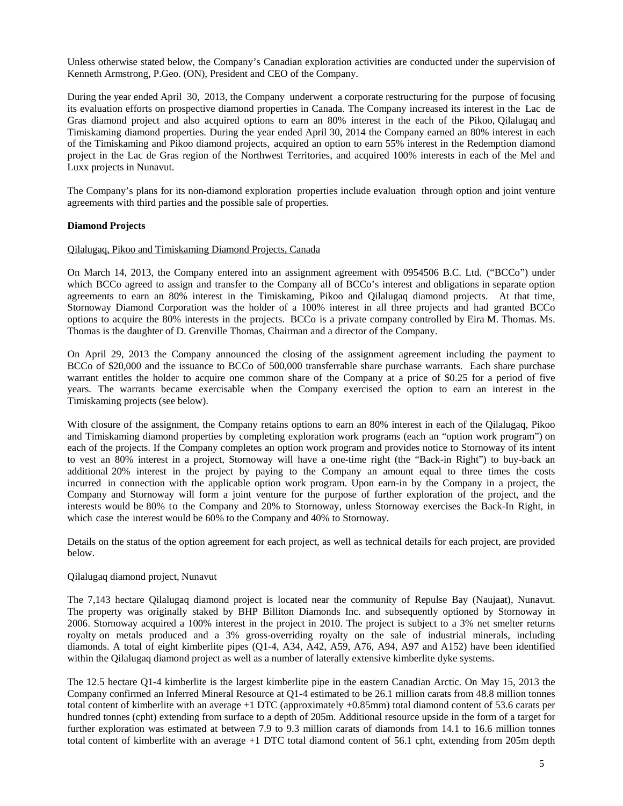Unless otherwise stated below, the Company's Canadian exploration activities are conducted under the supervision of Kenneth Armstrong, P.Geo. (ON), President and CEO of the Company.

During the year ended April 30, 2013, the Company underwent a corporate restructuring for the purpose of focusing its evaluation efforts on prospective diamond properties in Canada. The Company increased its interest in the Lac de Gras diamond project and also acquired options to earn an 80% interest in the each of the Pikoo, Qilalugaq and Timiskaming diamond properties. During the year ended April 30, 2014 the Company earned an 80% interest in each of the Timiskaming and Pikoo diamond projects, acquired an option to earn 55% interest in the Redemption diamond project in the Lac de Gras region of the Northwest Territories, and acquired 100% interests in each of the Mel and Luxx projects in Nunavut.

The Company's plans for its non-diamond exploration properties include evaluation through option and joint venture agreements with third parties and the possible sale of properties.

# **Diamond Projects**

#### Qilalugaq, Pikoo and Timiskaming Diamond Projects, Canada

On March 14, 2013, the Company entered into an assignment agreement with 0954506 B.C. Ltd. ("BCCo") under which BCCo agreed to assign and transfer to the Company all of BCCo's interest and obligations in separate option agreements to earn an 80% interest in the Timiskaming, Pikoo and Qilalugaq diamond projects. At that time, Stornoway Diamond Corporation was the holder of a 100% interest in all three projects and had granted BCCo options to acquire the 80% interests in the projects. BCCo is a private company controlled by Eira M. Thomas. Ms. Thomas is the daughter of D. Grenville Thomas, Chairman and a director of the Company.

On April 29, 2013 the Company announced the closing of the assignment agreement including the payment to BCCo of \$20,000 and the issuance to BCCo of 500,000 transferrable share purchase warrants. Each share purchase warrant entitles the holder to acquire one common share of the Company at a price of \$0.25 for a period of five years. The warrants became exercisable when the Company exercised the option to earn an interest in the Timiskaming projects (see below).

With closure of the assignment, the Company retains options to earn an 80% interest in each of the Qilalugaq, Pikoo and Timiskaming diamond properties by completing exploration work programs (each an "option work program") on each of the projects. If the Company completes an option work program and provides notice to Stornoway of its intent to vest an 80% interest in a project, Stornoway will have a one-time right (the "Back-in Right") to buy-back an additional 20% interest in the project by paying to the Company an amount equal to three times the costs incurred in connection with the applicable option work program. Upon earn-in by the Company in a project, the Company and Stornoway will form a joint venture for the purpose of further exploration of the project, and the interests would be 80% to the Company and 20% to Stornoway, unless Stornoway exercises the Back-In Right, in which case the interest would be 60% to the Company and 40% to Stornoway.

Details on the status of the option agreement for each project, as well as technical details for each project, are provided below.

#### Qilalugaq diamond project, Nunavut

The 7,143 hectare Qilalugaq diamond project is located near the community of Repulse Bay (Naujaat), Nunavut. The property was originally staked by BHP Billiton Diamonds Inc. and subsequently optioned by Stornoway in 2006. Stornoway acquired a 100% interest in the project in 2010. The project is subject to a 3% net smelter returns royalty on metals produced and a 3% gross-overriding royalty on the sale of industrial minerals, including diamonds. A total of eight kimberlite pipes (Q1-4, A34, A42, A59, A76, A94, A97 and A152) have been identified within the Qilalugaq diamond project as well as a number of laterally extensive kimberlite dyke systems.

The 12.5 hectare Q1-4 kimberlite is the largest kimberlite pipe in the eastern Canadian Arctic. On May 15, 2013 the Company confirmed an Inferred Mineral Resource at Q1-4 estimated to be 26.1 million carats from 48.8 million tonnes total content of kimberlite with an average +1 DTC (approximately +0.85mm) total diamond content of 53.6 carats per hundred tonnes (cpht) extending from surface to a depth of 205m. Additional resource upside in the form of a target for further exploration was estimated at between 7.9 to 9.3 million carats of diamonds from 14.1 to 16.6 million tonnes total content of kimberlite with an average +1 DTC total diamond content of 56.1 cpht, extending from 205m depth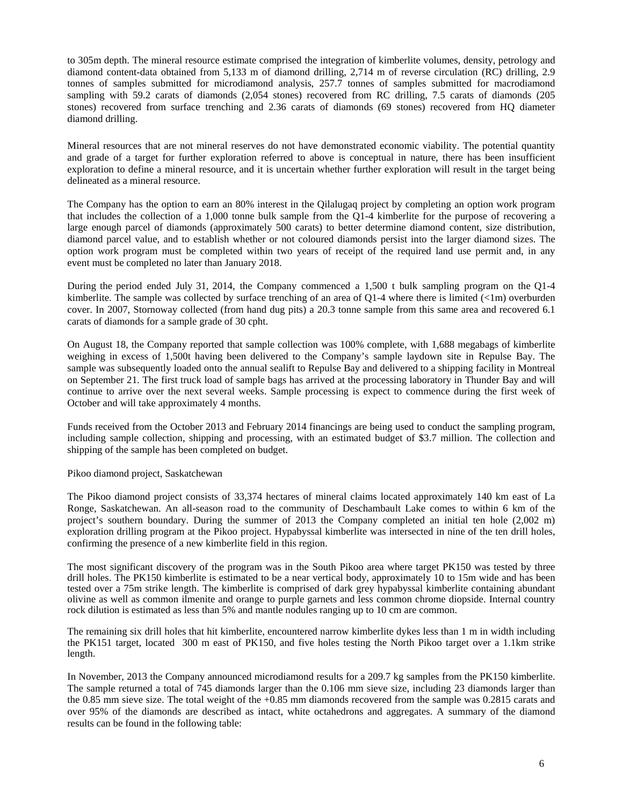to 305m depth. The mineral resource estimate comprised the integration of kimberlite volumes, density, petrology and diamond content-data obtained from 5,133 m of diamond drilling, 2,714 m of reverse circulation (RC) drilling, 2.9 tonnes of samples submitted for microdiamond analysis, 257.7 tonnes of samples submitted for macrodiamond sampling with 59.2 carats of diamonds (2,054 stones) recovered from RC drilling, 7.5 carats of diamonds (205 stones) recovered from surface trenching and 2.36 carats of diamonds (69 stones) recovered from HQ diameter diamond drilling.

Mineral resources that are not mineral reserves do not have demonstrated economic viability. The potential quantity and grade of a target for further exploration referred to above is conceptual in nature, there has been insufficient exploration to define a mineral resource, and it is uncertain whether further exploration will result in the target being delineated as a mineral resource.

The Company has the option to earn an 80% interest in the Qilalugaq project by completing an option work program that includes the collection of a 1,000 tonne bulk sample from the Q1-4 kimberlite for the purpose of recovering a large enough parcel of diamonds (approximately 500 carats) to better determine diamond content, size distribution, diamond parcel value, and to establish whether or not coloured diamonds persist into the larger diamond sizes. The option work program must be completed within two years of receipt of the required land use permit and, in any event must be completed no later than January 2018.

During the period ended July 31, 2014, the Company commenced a 1,500 t bulk sampling program on the Q1-4 kimberlite. The sample was collected by surface trenching of an area of Q1-4 where there is limited  $(\langle 1m \rangle)$  overburden cover. In 2007, Stornoway collected (from hand dug pits) a 20.3 tonne sample from this same area and recovered 6.1 carats of diamonds for a sample grade of 30 cpht.

On August 18, the Company reported that sample collection was 100% complete, with 1,688 megabags of kimberlite weighing in excess of 1,500t having been delivered to the Company's sample laydown site in Repulse Bay. The sample was subsequently loaded onto the annual sealift to Repulse Bay and delivered to a shipping facility in Montreal on September 21. The first truck load of sample bags has arrived at the processing laboratory in Thunder Bay and will continue to arrive over the next several weeks. Sample processing is expect to commence during the first week of October and will take approximately 4 months.

Funds received from the October 2013 and February 2014 financings are being used to conduct the sampling program, including sample collection, shipping and processing, with an estimated budget of \$3.7 million. The collection and shipping of the sample has been completed on budget.

#### Pikoo diamond project, Saskatchewan

The Pikoo diamond project consists of 33,374 hectares of mineral claims located approximately 140 km east of La Ronge, Saskatchewan. An all-season road to the community of Deschambault Lake comes to within 6 km of the project's southern boundary. During the summer of 2013 the Company completed an initial ten hole (2,002 m) exploration drilling program at the Pikoo project. Hypabyssal kimberlite was intersected in nine of the ten drill holes, confirming the presence of a new kimberlite field in this region.

The most significant discovery of the program was in the South Pikoo area where target PK150 was tested by three drill holes. The PK150 kimberlite is estimated to be a near vertical body, approximately 10 to 15m wide and has been tested over a 75m strike length. The kimberlite is comprised of dark grey hypabyssal kimberlite containing abundant olivine as well as common ilmenite and orange to purple garnets and less common chrome diopside. Internal country rock dilution is estimated as less than 5% and mantle nodules ranging up to 10 cm are common.

The remaining six drill holes that hit kimberlite, encountered narrow kimberlite dykes less than 1 m in width including the PK151 target, located 300 m east of PK150, and five holes testing the North Pikoo target over a 1.1km strike length.

In November, 2013 the Company announced microdiamond results for a 209.7 kg samples from the PK150 kimberlite. The sample returned a total of 745 diamonds larger than the 0.106 mm sieve size, including 23 diamonds larger than the 0.85 mm sieve size. The total weight of the +0.85 mm diamonds recovered from the sample was 0.2815 carats and over 95% of the diamonds are described as intact, white octahedrons and aggregates. A summary of the diamond results can be found in the following table: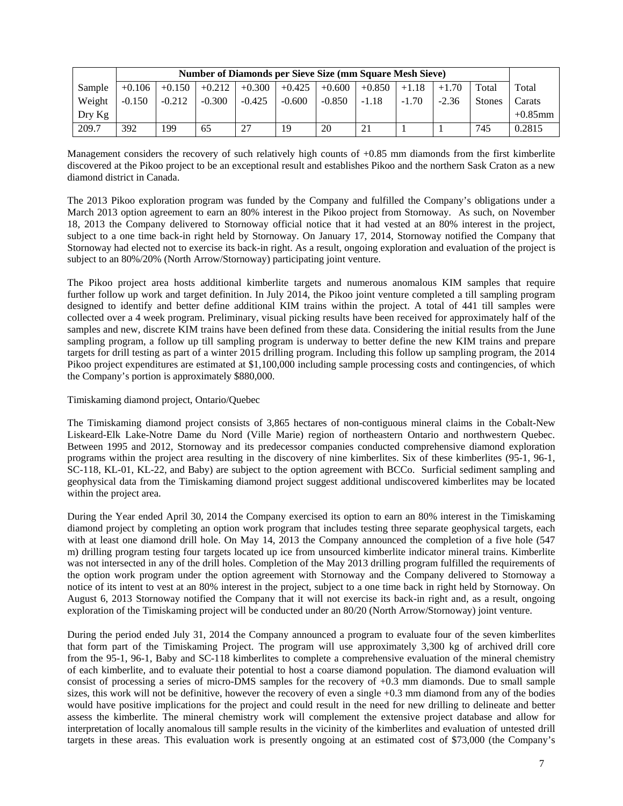|          | <b>Number of Diamonds per Sieve Size (mm Square Mesh Sieve)</b> |          |          |          |          |          |          |         |         |               |            |
|----------|-----------------------------------------------------------------|----------|----------|----------|----------|----------|----------|---------|---------|---------------|------------|
| Sample   | $+0.106$                                                        | $+0.150$ | $+0.212$ | $+0.300$ | $+0.425$ | $+0.600$ | $+0.850$ | $+1.18$ | $+1.70$ | Total         | Total      |
| Weight   | $-0.150$                                                        | $-0.212$ | $-0.300$ | $-0.425$ | $-0.600$ | $-0.850$ | $-1.18$  | $-1.70$ | $-2.36$ | <b>Stones</b> | Carats     |
| $Drv$ Kg |                                                                 |          |          |          |          |          |          |         |         |               | $+0.85$ mm |
| 209.7    | 392                                                             | 199      | 65       | 27       | 19       | 20       | 21       |         |         | 745           | 0.2815     |

Management considers the recovery of such relatively high counts of +0.85 mm diamonds from the first kimberlite discovered at the Pikoo project to be an exceptional result and establishes Pikoo and the northern Sask Craton as a new diamond district in Canada.

The 2013 Pikoo exploration program was funded by the Company and fulfilled the Company's obligations under a March 2013 option agreement to earn an 80% interest in the Pikoo project from Stornoway. As such, on November 18, 2013 the Company delivered to Stornoway official notice that it had vested at an 80% interest in the project, subject to a one time back-in right held by Stornoway. On January 17, 2014, Stornoway notified the Company that Stornoway had elected not to exercise its back-in right. As a result, ongoing exploration and evaluation of the project is subject to an 80%/20% (North Arrow/Stornoway) participating joint venture.

The Pikoo project area hosts additional kimberlite targets and numerous anomalous KIM samples that require further follow up work and target definition. In July 2014, the Pikoo joint venture completed a till sampling program designed to identify and better define additional KIM trains within the project. A total of 441 till samples were collected over a 4 week program. Preliminary, visual picking results have been received for approximately half of the samples and new, discrete KIM trains have been defined from these data. Considering the initial results from the June sampling program, a follow up till sampling program is underway to better define the new KIM trains and prepare targets for drill testing as part of a winter 2015 drilling program. Including this follow up sampling program, the 2014 Pikoo project expenditures are estimated at \$1,100,000 including sample processing costs and contingencies, of which the Company's portion is approximately \$880,000.

Timiskaming diamond project, Ontario/Quebec

The Timiskaming diamond project consists of 3,865 hectares of non-contiguous mineral claims in the Cobalt-New Liskeard-Elk Lake-Notre Dame du Nord (Ville Marie) region of northeastern Ontario and northwestern Quebec. Between 1995 and 2012, Stornoway and its predecessor companies conducted comprehensive diamond exploration programs within the project area resulting in the discovery of nine kimberlites. Six of these kimberlites (95-1, 96-1, SC-118, KL-01, KL-22, and Baby) are subject to the option agreement with BCCo. Surficial sediment sampling and geophysical data from the Timiskaming diamond project suggest additional undiscovered kimberlites may be located within the project area.

During the Year ended April 30, 2014 the Company exercised its option to earn an 80% interest in the Timiskaming diamond project by completing an option work program that includes testing three separate geophysical targets, each with at least one diamond drill hole. On May 14, 2013 the Company announced the completion of a five hole (547) m) drilling program testing four targets located up ice from unsourced kimberlite indicator mineral trains. Kimberlite was not intersected in any of the drill holes. Completion of the May 2013 drilling program fulfilled the requirements of the option work program under the option agreement with Stornoway and the Company delivered to Stornoway a notice of its intent to vest at an 80% interest in the project, subject to a one time back in right held by Stornoway. On August 6, 2013 Stornoway notified the Company that it will not exercise its back-in right and, as a result, ongoing exploration of the Timiskaming project will be conducted under an 80/20 (North Arrow/Stornoway) joint venture.

During the period ended July 31, 2014 the Company announced a program to evaluate four of the seven kimberlites that form part of the Timiskaming Project. The program will use approximately 3,300 kg of archived drill core from the 95-1, 96-1, Baby and SC-118 kimberlites to complete a comprehensive evaluation of the mineral chemistry of each kimberlite, and to evaluate their potential to host a coarse diamond population. The diamond evaluation will consist of processing a series of micro-DMS samples for the recovery of +0.3 mm diamonds. Due to small sample sizes, this work will not be definitive, however the recovery of even a single +0.3 mm diamond from any of the bodies would have positive implications for the project and could result in the need for new drilling to delineate and better assess the kimberlite. The mineral chemistry work will complement the extensive project database and allow for interpretation of locally anomalous till sample results in the vicinity of the kimberlites and evaluation of untested drill targets in these areas. This evaluation work is presently ongoing at an estimated cost of \$73,000 (the Company's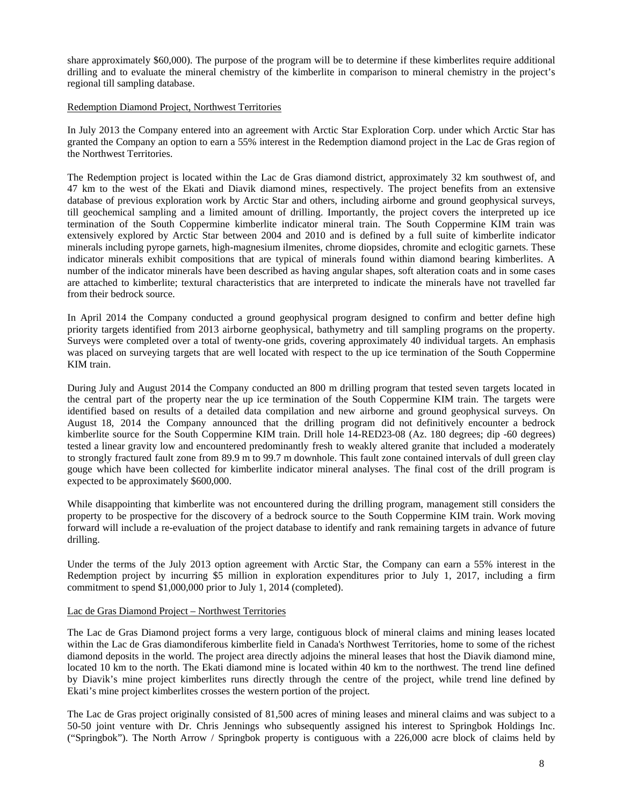share approximately \$60,000). The purpose of the program will be to determine if these kimberlites require additional drilling and to evaluate the mineral chemistry of the kimberlite in comparison to mineral chemistry in the project's regional till sampling database.

#### Redemption Diamond Project, Northwest Territories

In July 2013 the Company entered into an agreement with Arctic Star Exploration Corp. under which Arctic Star has granted the Company an option to earn a 55% interest in the Redemption diamond project in the Lac de Gras region of the Northwest Territories.

The Redemption project is located within the Lac de Gras diamond district, approximately 32 km southwest of, and 47 km to the west of the Ekati and Diavik diamond mines, respectively. The project benefits from an extensive database of previous exploration work by Arctic Star and others, including airborne and ground geophysical surveys, till geochemical sampling and a limited amount of drilling. Importantly, the project covers the interpreted up ice termination of the South Coppermine kimberlite indicator mineral train. The South Coppermine KIM train was extensively explored by Arctic Star between 2004 and 2010 and is defined by a full suite of kimberlite indicator minerals including pyrope garnets, high-magnesium ilmenites, chrome diopsides, chromite and eclogitic garnets. These indicator minerals exhibit compositions that are typical of minerals found within diamond bearing kimberlites. A number of the indicator minerals have been described as having angular shapes, soft alteration coats and in some cases are attached to kimberlite; textural characteristics that are interpreted to indicate the minerals have not travelled far from their bedrock source.

In April 2014 the Company conducted a ground geophysical program designed to confirm and better define high priority targets identified from 2013 airborne geophysical, bathymetry and till sampling programs on the property. Surveys were completed over a total of twenty-one grids, covering approximately 40 individual targets. An emphasis was placed on surveying targets that are well located with respect to the up ice termination of the South Coppermine KIM train.

During July and August 2014 the Company conducted an 800 m drilling program that tested seven targets located in the central part of the property near the up ice termination of the South Coppermine KIM train. The targets were identified based on results of a detailed data compilation and new airborne and ground geophysical surveys. On August 18, 2014 the Company announced that the drilling program did not definitively encounter a bedrock kimberlite source for the South Coppermine KIM train. Drill hole 14-RED23-08 (Az. 180 degrees; dip -60 degrees) tested a linear gravity low and encountered predominantly fresh to weakly altered granite that included a moderately to strongly fractured fault zone from 89.9 m to 99.7 m downhole. This fault zone contained intervals of dull green clay gouge which have been collected for kimberlite indicator mineral analyses. The final cost of the drill program is expected to be approximately \$600,000.

While disappointing that kimberlite was not encountered during the drilling program, management still considers the property to be prospective for the discovery of a bedrock source to the South Coppermine KIM train. Work moving forward will include a re-evaluation of the project database to identify and rank remaining targets in advance of future drilling.

Under the terms of the July 2013 option agreement with Arctic Star, the Company can earn a 55% interest in the Redemption project by incurring \$5 million in exploration expenditures prior to July 1, 2017, including a firm commitment to spend \$1,000,000 prior to July 1, 2014 (completed).

# Lac de Gras Diamond Project – Northwest Territories

The Lac de Gras Diamond project forms a very large, contiguous block of mineral claims and mining leases located within the Lac de Gras diamondiferous kimberlite field in Canada's Northwest Territories, home to some of the richest diamond deposits in the world. The project area directly adjoins the mineral leases that host the Diavik diamond mine, located 10 km to the north. The Ekati diamond mine is located within 40 km to the northwest. The trend line defined by Diavik's mine project kimberlites runs directly through the centre of the project, while trend line defined by Ekati's mine project kimberlites crosses the western portion of the project.

The Lac de Gras project originally consisted of 81,500 acres of mining leases and mineral claims and was subject to a 50-50 joint venture with Dr. Chris Jennings who subsequently assigned his interest to Springbok Holdings Inc. ("Springbok"). The North Arrow / Springbok property is contiguous with a 226,000 acre block of claims held by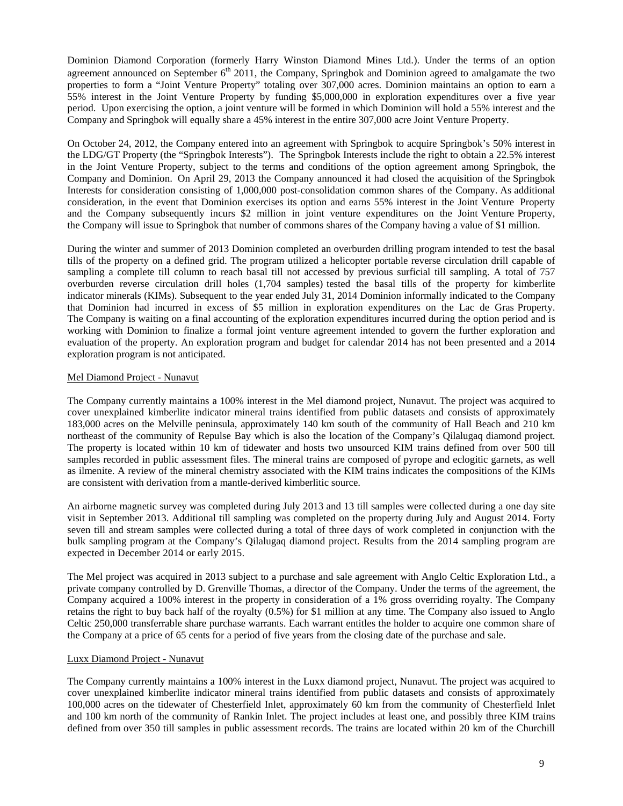Dominion Diamond Corporation (formerly Harry Winston Diamond Mines Ltd.). Under the terms of an option agreement announced on September  $6<sup>th</sup>$  2011, the Company, Springbok and Dominion agreed to amalgamate the two properties to form a "Joint Venture Property" totaling over 307,000 acres. Dominion maintains an option to earn a 55% interest in the Joint Venture Property by funding \$5,000,000 in exploration expenditures over a five year period. Upon exercising the option, a joint venture will be formed in which Dominion will hold a 55% interest and the Company and Springbok will equally share a 45% interest in the entire 307,000 acre Joint Venture Property.

On October 24, 2012, the Company entered into an agreement with Springbok to acquire Springbok's 50% interest in the LDG/GT Property (the "Springbok Interests"). The Springbok Interests include the right to obtain a 22.5% interest in the Joint Venture Property, subject to the terms and conditions of the option agreement among Springbok, the Company and Dominion. On April 29, 2013 the Company announced it had closed the acquisition of the Springbok Interests for consideration consisting of 1,000,000 post-consolidation common shares of the Company. As additional consideration, in the event that Dominion exercises its option and earns 55% interest in the Joint Venture Property and the Company subsequently incurs \$2 million in joint venture expenditures on the Joint Venture Property, the Company will issue to Springbok that number of commons shares of the Company having a value of \$1 million.

During the winter and summer of 2013 Dominion completed an overburden drilling program intended to test the basal tills of the property on a defined grid. The program utilized a helicopter portable reverse circulation drill capable of sampling a complete till column to reach basal till not accessed by previous surficial till sampling. A total of 757 overburden reverse circulation drill holes (1,704 samples) tested the basal tills of the property for kimberlite indicator minerals (KIMs). Subsequent to the year ended July 31, 2014 Dominion informally indicated to the Company that Dominion had incurred in excess of \$5 million in exploration expenditures on the Lac de Gras Property. The Company is waiting on a final accounting of the exploration expenditures incurred during the option period and is working with Dominion to finalize a formal joint venture agreement intended to govern the further exploration and evaluation of the property. An exploration program and budget for calendar 2014 has not been presented and a 2014 exploration program is not anticipated.

# Mel Diamond Project - Nunavut

The Company currently maintains a 100% interest in the Mel diamond project, Nunavut. The project was acquired to cover unexplained kimberlite indicator mineral trains identified from public datasets and consists of approximately 183,000 acres on the Melville peninsula, approximately 140 km south of the community of Hall Beach and 210 km northeast of the community of Repulse Bay which is also the location of the Company's Qilalugaq diamond project. The property is located within 10 km of tidewater and hosts two unsourced KIM trains defined from over 500 till samples recorded in public assessment files. The mineral trains are composed of pyrope and eclogitic garnets, as well as ilmenite. A review of the mineral chemistry associated with the KIM trains indicates the compositions of the KIMs are consistent with derivation from a mantle-derived kimberlitic source.

An airborne magnetic survey was completed during July 2013 and 13 till samples were collected during a one day site visit in September 2013. Additional till sampling was completed on the property during July and August 2014. Forty seven till and stream samples were collected during a total of three days of work completed in conjunction with the bulk sampling program at the Company's Qilalugaq diamond project. Results from the 2014 sampling program are expected in December 2014 or early 2015.

The Mel project was acquired in 2013 subject to a purchase and sale agreement with Anglo Celtic Exploration Ltd., a private company controlled by D. Grenville Thomas, a director of the Company. Under the terms of the agreement, the Company acquired a 100% interest in the property in consideration of a 1% gross overriding royalty. The Company retains the right to buy back half of the royalty (0.5%) for \$1 million at any time. The Company also issued to Anglo Celtic 250,000 transferrable share purchase warrants. Each warrant entitles the holder to acquire one common share of the Company at a price of 65 cents for a period of five years from the closing date of the purchase and sale.

#### Luxx Diamond Project - Nunavut

The Company currently maintains a 100% interest in the Luxx diamond project, Nunavut. The project was acquired to cover unexplained kimberlite indicator mineral trains identified from public datasets and consists of approximately 100,000 acres on the tidewater of Chesterfield Inlet, approximately 60 km from the community of Chesterfield Inlet and 100 km north of the community of Rankin Inlet. The project includes at least one, and possibly three KIM trains defined from over 350 till samples in public assessment records. The trains are located within 20 km of the Churchill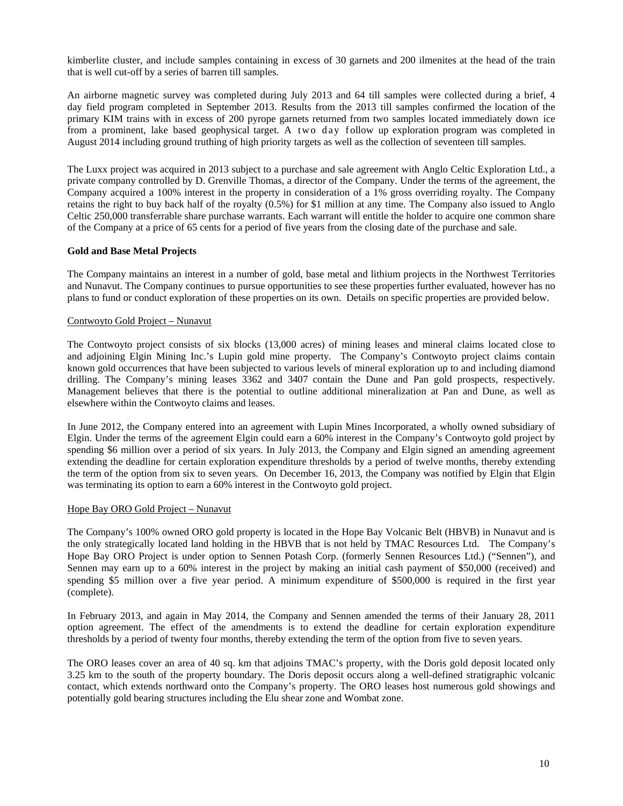kimberlite cluster, and include samples containing in excess of 30 garnets and 200 ilmenites at the head of the train that is well cut-off by a series of barren till samples.

An airborne magnetic survey was completed during July 2013 and 64 till samples were collected during a brief, 4 day field program completed in September 2013. Results from the 2013 till samples confirmed the location of the primary KIM trains with in excess of 200 pyrope garnets returned from two samples located immediately down ice from a prominent, lake based geophysical target. A two day follow up exploration program was completed in August 2014 including ground truthing of high priority targets as well as the collection of seventeen till samples.

The Luxx project was acquired in 2013 subject to a purchase and sale agreement with Anglo Celtic Exploration Ltd., a private company controlled by D. Grenville Thomas, a director of the Company. Under the terms of the agreement, the Company acquired a 100% interest in the property in consideration of a 1% gross overriding royalty. The Company retains the right to buy back half of the royalty (0.5%) for \$1 million at any time. The Company also issued to Anglo Celtic 250,000 transferrable share purchase warrants. Each warrant will entitle the holder to acquire one common share of the Company at a price of 65 cents for a period of five years from the closing date of the purchase and sale.

# **Gold and Base Metal Projects**

The Company maintains an interest in a number of gold, base metal and lithium projects in the Northwest Territories and Nunavut. The Company continues to pursue opportunities to see these properties further evaluated, however has no plans to fund or conduct exploration of these properties on its own. Details on specific properties are provided below.

# Contwoyto Gold Project – Nunavut

The Contwoyto project consists of six blocks (13,000 acres) of mining leases and mineral claims located close to and adjoining Elgin Mining Inc.'s Lupin gold mine property. The Company's Contwoyto project claims contain known gold occurrences that have been subjected to various levels of mineral exploration up to and including diamond drilling. The Company's mining leases 3362 and 3407 contain the Dune and Pan gold prospects, respectively. Management believes that there is the potential to outline additional mineralization at Pan and Dune, as well as elsewhere within the Contwoyto claims and leases.

In June 2012, the Company entered into an agreement with Lupin Mines Incorporated, a wholly owned subsidiary of Elgin. Under the terms of the agreement Elgin could earn a 60% interest in the Company's Contwoyto gold project by spending \$6 million over a period of six years. In July 2013, the Company and Elgin signed an amending agreement extending the deadline for certain exploration expenditure thresholds by a period of twelve months, thereby extending the term of the option from six to seven years. On December 16, 2013, the Company was notified by Elgin that Elgin was terminating its option to earn a 60% interest in the Contwoyto gold project.

#### Hope Bay ORO Gold Project – Nunavut

The Company's 100% owned ORO gold property is located in the Hope Bay Volcanic Belt (HBVB) in Nunavut and is the only strategically located land holding in the HBVB that is not held by TMAC Resources Ltd. The Company's Hope Bay ORO Project is under option to Sennen Potash Corp. (formerly Sennen Resources Ltd.) ("Sennen"), and Sennen may earn up to a 60% interest in the project by making an initial cash payment of \$50,000 (received) and spending \$5 million over a five year period. A minimum expenditure of \$500,000 is required in the first year (complete).

In February 2013, and again in May 2014, the Company and Sennen amended the terms of their January 28, 2011 option agreement. The effect of the amendments is to extend the deadline for certain exploration expenditure thresholds by a period of twenty four months, thereby extending the term of the option from five to seven years.

The ORO leases cover an area of 40 sq. km that adjoins TMAC's property, with the Doris gold deposit located only 3.25 km to the south of the property boundary. The Doris deposit occurs along a well-defined stratigraphic volcanic contact, which extends northward onto the Company's property. The ORO leases host numerous gold showings and potentially gold bearing structures including the Elu shear zone and Wombat zone.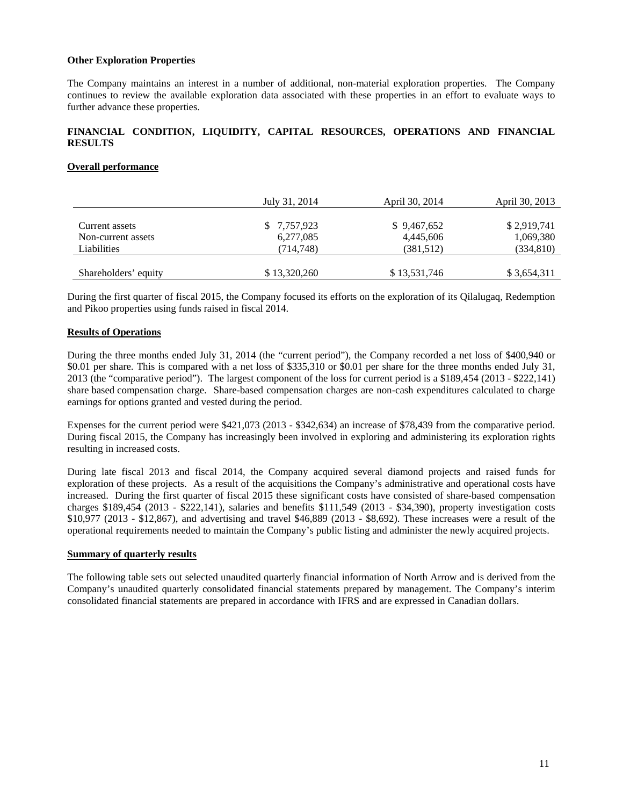#### **Other Exploration Properties**

The Company maintains an interest in a number of additional, non-material exploration properties. The Company continues to review the available exploration data associated with these properties in an effort to evaluate ways to further advance these properties.

# **FINANCIAL CONDITION, LIQUIDITY, CAPITAL RESOURCES, OPERATIONS AND FINANCIAL RESULTS**

# **Overall performance**

|                      | July 31, 2014 | April 30, 2014 | April 30, 2013 |
|----------------------|---------------|----------------|----------------|
|                      |               |                |                |
| Current assets       | \$ 7,757,923  | \$9,467,652    | \$2,919,741    |
| Non-current assets   | 6,277,085     | 4.445.606      | 1,069,380      |
| Liabilities          | (714,748)     | (381, 512)     | (334, 810)     |
|                      |               |                |                |
| Shareholders' equity | \$13,320,260  | \$13,531,746   | \$3,654,311    |

During the first quarter of fiscal 2015, the Company focused its efforts on the exploration of its Qilalugaq, Redemption and Pikoo properties using funds raised in fiscal 2014.

# **Results of Operations**

During the three months ended July 31, 2014 (the "current period"), the Company recorded a net loss of \$400,940 or \$0.01 per share. This is compared with a net loss of \$335,310 or \$0.01 per share for the three months ended July 31, 2013 (the "comparative period"). The largest component of the loss for current period is a \$189,454 (2013 - \$222,141) share based compensation charge. Share-based compensation charges are non-cash expenditures calculated to charge earnings for options granted and vested during the period.

Expenses for the current period were \$421,073 (2013 - \$342,634) an increase of \$78,439 from the comparative period. During fiscal 2015, the Company has increasingly been involved in exploring and administering its exploration rights resulting in increased costs.

During late fiscal 2013 and fiscal 2014, the Company acquired several diamond projects and raised funds for exploration of these projects. As a result of the acquisitions the Company's administrative and operational costs have increased. During the first quarter of fiscal 2015 these significant costs have consisted of share-based compensation charges \$189,454 (2013 - \$222,141), salaries and benefits \$111,549 (2013 - \$34,390), property investigation costs \$10,977 (2013 - \$12,867), and advertising and travel \$46,889 (2013 - \$8,692). These increases were a result of the operational requirements needed to maintain the Company's public listing and administer the newly acquired projects.

#### **Summary of quarterly results**

The following table sets out selected unaudited quarterly financial information of North Arrow and is derived from the Company's unaudited quarterly consolidated financial statements prepared by management. The Company's interim consolidated financial statements are prepared in accordance with IFRS and are expressed in Canadian dollars.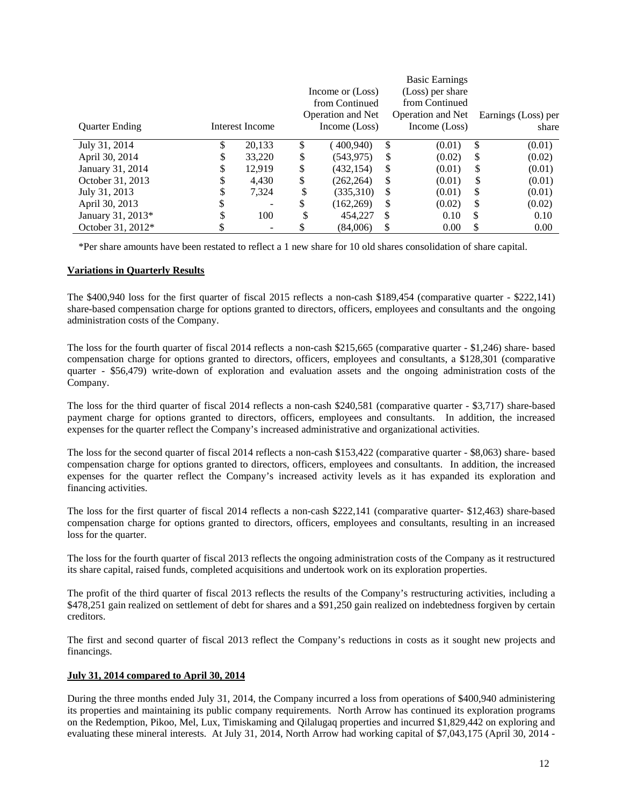|                       |    |                 |                          |    | <b>Basic Earnings</b> |                     |
|-----------------------|----|-----------------|--------------------------|----|-----------------------|---------------------|
|                       |    |                 | Income or (Loss)         |    | (Loss) per share      |                     |
|                       |    |                 | from Continued           |    | from Continued        |                     |
|                       |    |                 | <b>Operation and Net</b> |    | Operation and Net     | Earnings (Loss) per |
| <b>Quarter Ending</b> |    | Interest Income | Income (Loss)            |    | Income (Loss)         | share               |
| July 31, 2014         | S  | 20,133          | \$<br>400,940)           | \$ | (0.01)                | \$<br>(0.01)        |
| April 30, 2014        | S  | 33,220          | \$<br>(543,975)          | \$ | (0.02)                | \$<br>(0.02)        |
| January 31, 2014      | \$ | 12,919          | \$<br>(432,154)          | \$ | (0.01)                | \$<br>(0.01)        |
| October 31, 2013      | S  | 4,430           | \$<br>(262, 264)         | S  | (0.01)                | \$<br>(0.01)        |
| July 31, 2013         | D  | 7,324           | \$<br>(335,310)          | \$ | (0.01)                | \$<br>(0.01)        |
| April 30, 2013        | \$ |                 | \$<br>(162, 269)         | \$ | (0.02)                | \$<br>(0.02)        |
| January 31, 2013*     | D  | 100             | 454,227                  | \$ | 0.10                  | \$<br>0.10          |
| October 31, 2012*     |    | -               | (84.006)                 | \$ | 0.00                  | \$<br>0.00          |

\*Per share amounts have been restated to reflect a 1 new share for 10 old shares consolidation of share capital.

#### **Variations in Quarterly Results**

The \$400,940 loss for the first quarter of fiscal 2015 reflects a non-cash \$189,454 (comparative quarter - \$222,141) share-based compensation charge for options granted to directors, officers, employees and consultants and the ongoing administration costs of the Company.

The loss for the fourth quarter of fiscal 2014 reflects a non-cash \$215,665 (comparative quarter - \$1,246) share- based compensation charge for options granted to directors, officers, employees and consultants, a \$128,301 (comparative quarter - \$56,479) write-down of exploration and evaluation assets and the ongoing administration costs of the Company.

The loss for the third quarter of fiscal 2014 reflects a non-cash \$240,581 (comparative quarter - \$3,717) share-based payment charge for options granted to directors, officers, employees and consultants. In addition, the increased expenses for the quarter reflect the Company's increased administrative and organizational activities.

The loss for the second quarter of fiscal 2014 reflects a non-cash \$153,422 (comparative quarter - \$8,063) share- based compensation charge for options granted to directors, officers, employees and consultants. In addition, the increased expenses for the quarter reflect the Company's increased activity levels as it has expanded its exploration and financing activities.

The loss for the first quarter of fiscal 2014 reflects a non-cash \$222,141 (comparative quarter- \$12,463) share-based compensation charge for options granted to directors, officers, employees and consultants, resulting in an increased loss for the quarter.

The loss for the fourth quarter of fiscal 2013 reflects the ongoing administration costs of the Company as it restructured its share capital, raised funds, completed acquisitions and undertook work on its exploration properties.

The profit of the third quarter of fiscal 2013 reflects the results of the Company's restructuring activities, including a \$478,251 gain realized on settlement of debt for shares and a \$91,250 gain realized on indebtedness forgiven by certain creditors.

The first and second quarter of fiscal 2013 reflect the Company's reductions in costs as it sought new projects and financings.

#### **July 31, 2014 compared to April 30, 2014**

During the three months ended July 31, 2014, the Company incurred a loss from operations of \$400,940 administering its properties and maintaining its public company requirements. North Arrow has continued its exploration programs on the Redemption, Pikoo, Mel, Lux, Timiskaming and Qilalugaq properties and incurred \$1,829,442 on exploring and evaluating these mineral interests. At July 31, 2014, North Arrow had working capital of \$7,043,175 (April 30, 2014 -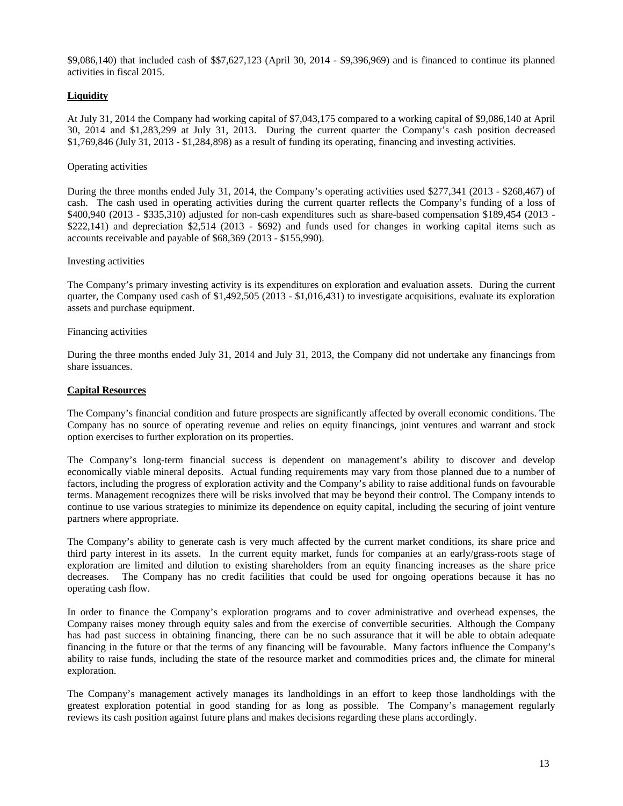\$9,086,140) that included cash of \$\$7,627,123 (April 30, 2014 - \$9,396,969) and is financed to continue its planned activities in fiscal 2015.

# **Liquidity**

At July 31, 2014 the Company had working capital of \$7,043,175 compared to a working capital of \$9,086,140 at April 30, 2014 and \$1,283,299 at July 31, 2013. During the current quarter the Company's cash position decreased \$1,769,846 (July 31, 2013 - \$1,284,898) as a result of funding its operating, financing and investing activities.

# Operating activities

During the three months ended July 31, 2014, the Company's operating activities used \$277,341 (2013 - \$268,467) of cash. The cash used in operating activities during the current quarter reflects the Company's funding of a loss of \$400,940 (2013 - \$335,310) adjusted for non-cash expenditures such as share-based compensation \$189,454 (2013 - \$222,141) and depreciation \$2,514 (2013 - \$692) and funds used for changes in working capital items such as accounts receivable and payable of \$68,369 (2013 - \$155,990).

#### Investing activities

The Company's primary investing activity is its expenditures on exploration and evaluation assets. During the current quarter, the Company used cash of \$1,492,505 (2013 - \$1,016,431) to investigate acquisitions, evaluate its exploration assets and purchase equipment.

# Financing activities

During the three months ended July 31, 2014 and July 31, 2013, the Company did not undertake any financings from share issuances.

# **Capital Resources**

The Company's financial condition and future prospects are significantly affected by overall economic conditions. The Company has no source of operating revenue and relies on equity financings, joint ventures and warrant and stock option exercises to further exploration on its properties.

The Company's long-term financial success is dependent on management's ability to discover and develop economically viable mineral deposits. Actual funding requirements may vary from those planned due to a number of factors, including the progress of exploration activity and the Company's ability to raise additional funds on favourable terms. Management recognizes there will be risks involved that may be beyond their control. The Company intends to continue to use various strategies to minimize its dependence on equity capital, including the securing of joint venture partners where appropriate.

The Company's ability to generate cash is very much affected by the current market conditions, its share price and third party interest in its assets. In the current equity market, funds for companies at an early/grass-roots stage of exploration are limited and dilution to existing shareholders from an equity financing increases as the share price decreases. The Company has no credit facilities that could be used for ongoing operations because it has no operating cash flow.

In order to finance the Company's exploration programs and to cover administrative and overhead expenses, the Company raises money through equity sales and from the exercise of convertible securities. Although the Company has had past success in obtaining financing, there can be no such assurance that it will be able to obtain adequate financing in the future or that the terms of any financing will be favourable. Many factors influence the Company's ability to raise funds, including the state of the resource market and commodities prices and, the climate for mineral exploration.

The Company's management actively manages its landholdings in an effort to keep those landholdings with the greatest exploration potential in good standing for as long as possible. The Company's management regularly reviews its cash position against future plans and makes decisions regarding these plans accordingly.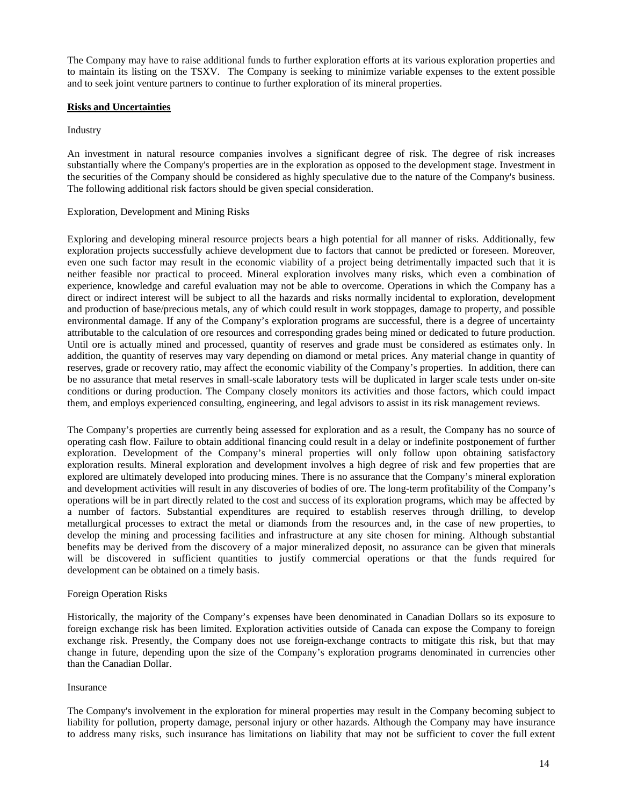The Company may have to raise additional funds to further exploration efforts at its various exploration properties and to maintain its listing on the TSXV. The Company is seeking to minimize variable expenses to the extent possible and to seek joint venture partners to continue to further exploration of its mineral properties.

# **Risks and Uncertainties**

#### Industry

An investment in natural resource companies involves a significant degree of risk. The degree of risk increases substantially where the Company's properties are in the exploration as opposed to the development stage. Investment in the securities of the Company should be considered as highly speculative due to the nature of the Company's business. The following additional risk factors should be given special consideration.

# Exploration, Development and Mining Risks

Exploring and developing mineral resource projects bears a high potential for all manner of risks. Additionally, few exploration projects successfully achieve development due to factors that cannot be predicted or foreseen. Moreover, even one such factor may result in the economic viability of a project being detrimentally impacted such that it is neither feasible nor practical to proceed. Mineral exploration involves many risks, which even a combination of experience, knowledge and careful evaluation may not be able to overcome. Operations in which the Company has a direct or indirect interest will be subject to all the hazards and risks normally incidental to exploration, development and production of base/precious metals, any of which could result in work stoppages, damage to property, and possible environmental damage. If any of the Company's exploration programs are successful, there is a degree of uncertainty attributable to the calculation of ore resources and corresponding grades being mined or dedicated to future production. Until ore is actually mined and processed, quantity of reserves and grade must be considered as estimates only. In addition, the quantity of reserves may vary depending on diamond or metal prices. Any material change in quantity of reserves, grade or recovery ratio, may affect the economic viability of the Company's properties. In addition, there can be no assurance that metal reserves in small-scale laboratory tests will be duplicated in larger scale tests under on-site conditions or during production. The Company closely monitors its activities and those factors, which could impact them, and employs experienced consulting, engineering, and legal advisors to assist in its risk management reviews.

The Company's properties are currently being assessed for exploration and as a result, the Company has no source of operating cash flow. Failure to obtain additional financing could result in a delay or indefinite postponement of further exploration. Development of the Company's mineral properties will only follow upon obtaining satisfactory exploration results. Mineral exploration and development involves a high degree of risk and few properties that are explored are ultimately developed into producing mines. There is no assurance that the Company's mineral exploration and development activities will result in any discoveries of bodies of ore. The long-term profitability of the Company's operations will be in part directly related to the cost and success of its exploration programs, which may be affected by a number of factors. Substantial expenditures are required to establish reserves through drilling, to develop metallurgical processes to extract the metal or diamonds from the resources and, in the case of new properties, to develop the mining and processing facilities and infrastructure at any site chosen for mining. Although substantial benefits may be derived from the discovery of a major mineralized deposit, no assurance can be given that minerals will be discovered in sufficient quantities to justify commercial operations or that the funds required for development can be obtained on a timely basis.

#### Foreign Operation Risks

Historically, the majority of the Company's expenses have been denominated in Canadian Dollars so its exposure to foreign exchange risk has been limited. Exploration activities outside of Canada can expose the Company to foreign exchange risk. Presently, the Company does not use foreign-exchange contracts to mitigate this risk, but that may change in future, depending upon the size of the Company's exploration programs denominated in currencies other than the Canadian Dollar.

#### Insurance

The Company's involvement in the exploration for mineral properties may result in the Company becoming subject to liability for pollution, property damage, personal injury or other hazards. Although the Company may have insurance to address many risks, such insurance has limitations on liability that may not be sufficient to cover the full extent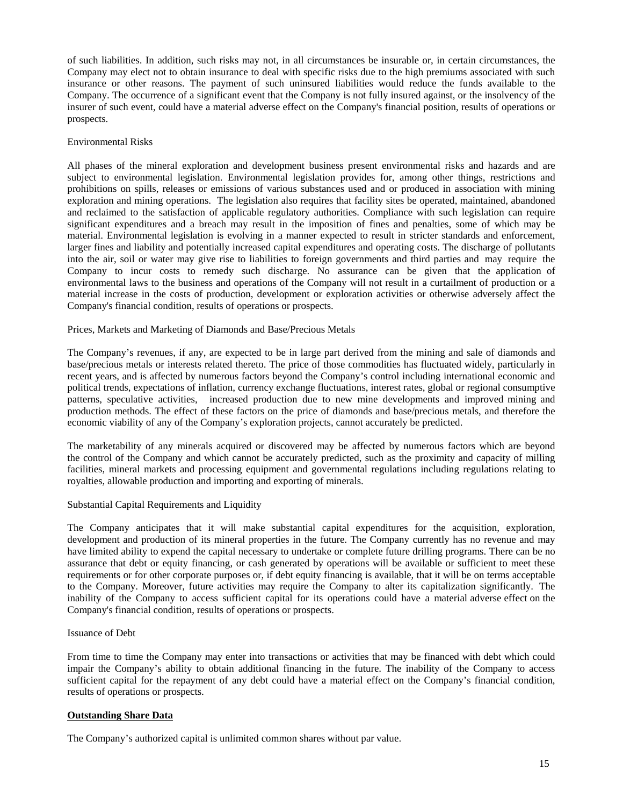of such liabilities. In addition, such risks may not, in all circumstances be insurable or, in certain circumstances, the Company may elect not to obtain insurance to deal with specific risks due to the high premiums associated with such insurance or other reasons. The payment of such uninsured liabilities would reduce the funds available to the Company. The occurrence of a significant event that the Company is not fully insured against, or the insolvency of the insurer of such event, could have a material adverse effect on the Company's financial position, results of operations or prospects.

# Environmental Risks

All phases of the mineral exploration and development business present environmental risks and hazards and are subject to environmental legislation. Environmental legislation provides for, among other things, restrictions and prohibitions on spills, releases or emissions of various substances used and or produced in association with mining exploration and mining operations. The legislation also requires that facility sites be operated, maintained, abandoned and reclaimed to the satisfaction of applicable regulatory authorities. Compliance with such legislation can require significant expenditures and a breach may result in the imposition of fines and penalties, some of which may be material. Environmental legislation is evolving in a manner expected to result in stricter standards and enforcement, larger fines and liability and potentially increased capital expenditures and operating costs. The discharge of pollutants into the air, soil or water may give rise to liabilities to foreign governments and third parties and may require the Company to incur costs to remedy such discharge. No assurance can be given that the application of environmental laws to the business and operations of the Company will not result in a curtailment of production or a material increase in the costs of production, development or exploration activities or otherwise adversely affect the Company's financial condition, results of operations or prospects.

#### Prices, Markets and Marketing of Diamonds and Base/Precious Metals

The Company's revenues, if any, are expected to be in large part derived from the mining and sale of diamonds and base/precious metals or interests related thereto. The price of those commodities has fluctuated widely, particularly in recent years, and is affected by numerous factors beyond the Company's control including international economic and political trends, expectations of inflation, currency exchange fluctuations, interest rates, global or regional consumptive patterns, speculative activities, increased production due to new mine developments and improved mining and production methods. The effect of these factors on the price of diamonds and base/precious metals, and therefore the economic viability of any of the Company's exploration projects, cannot accurately be predicted.

The marketability of any minerals acquired or discovered may be affected by numerous factors which are beyond the control of the Company and which cannot be accurately predicted, such as the proximity and capacity of milling facilities, mineral markets and processing equipment and governmental regulations including regulations relating to royalties, allowable production and importing and exporting of minerals.

#### Substantial Capital Requirements and Liquidity

The Company anticipates that it will make substantial capital expenditures for the acquisition, exploration, development and production of its mineral properties in the future. The Company currently has no revenue and may have limited ability to expend the capital necessary to undertake or complete future drilling programs. There can be no assurance that debt or equity financing, or cash generated by operations will be available or sufficient to meet these requirements or for other corporate purposes or, if debt equity financing is available, that it will be on terms acceptable to the Company. Moreover, future activities may require the Company to alter its capitalization significantly. The inability of the Company to access sufficient capital for its operations could have a material adverse effect on the Company's financial condition, results of operations or prospects.

#### Issuance of Debt

From time to time the Company may enter into transactions or activities that may be financed with debt which could impair the Company's ability to obtain additional financing in the future. The inability of the Company to access sufficient capital for the repayment of any debt could have a material effect on the Company's financial condition, results of operations or prospects.

#### **Outstanding Share Data**

The Company's authorized capital is unlimited common shares without par value.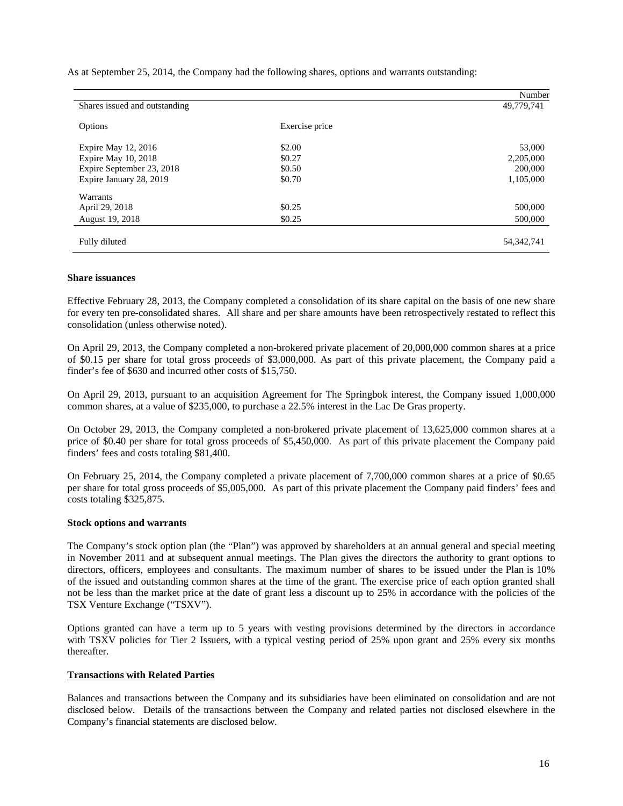As at September 25, 2014, the Company had the following shares, options and warrants outstanding:

|                               |                | Number       |
|-------------------------------|----------------|--------------|
| Shares issued and outstanding |                | 49,779,741   |
| Options                       | Exercise price |              |
| Expire May 12, 2016           | \$2.00         | 53,000       |
| Expire May 10, 2018           | \$0.27         | 2,205,000    |
| Expire September 23, 2018     | \$0.50         | 200,000      |
| Expire January 28, 2019       | \$0.70         | 1,105,000    |
| Warrants                      |                |              |
| April 29, 2018                | \$0.25         | 500,000      |
| August 19, 2018               | \$0.25         | 500,000      |
| Fully diluted                 |                | 54, 342, 741 |

#### **Share issuances**

Effective February 28, 2013, the Company completed a consolidation of its share capital on the basis of one new share for every ten pre-consolidated shares. All share and per share amounts have been retrospectively restated to reflect this consolidation (unless otherwise noted).

On April 29, 2013, the Company completed a non-brokered private placement of 20,000,000 common shares at a price of \$0.15 per share for total gross proceeds of \$3,000,000. As part of this private placement, the Company paid a finder's fee of \$630 and incurred other costs of \$15,750.

On April 29, 2013, pursuant to an acquisition Agreement for The Springbok interest, the Company issued 1,000,000 common shares, at a value of \$235,000, to purchase a 22.5% interest in the Lac De Gras property.

On October 29, 2013, the Company completed a non-brokered private placement of 13,625,000 common shares at a price of \$0.40 per share for total gross proceeds of \$5,450,000. As part of this private placement the Company paid finders' fees and costs totaling \$81,400.

On February 25, 2014, the Company completed a private placement of 7,700,000 common shares at a price of \$0.65 per share for total gross proceeds of \$5,005,000. As part of this private placement the Company paid finders' fees and costs totaling \$325,875.

#### **Stock options and warrants**

The Company's stock option plan (the "Plan") was approved by shareholders at an annual general and special meeting in November 2011 and at subsequent annual meetings. The Plan gives the directors the authority to grant options to directors, officers, employees and consultants. The maximum number of shares to be issued under the Plan is 10% of the issued and outstanding common shares at the time of the grant. The exercise price of each option granted shall not be less than the market price at the date of grant less a discount up to 25% in accordance with the policies of the TSX Venture Exchange ("TSXV").

Options granted can have a term up to 5 years with vesting provisions determined by the directors in accordance with TSXV policies for Tier 2 Issuers, with a typical vesting period of 25% upon grant and 25% every six months thereafter.

#### **Transactions with Related Parties**

Balances and transactions between the Company and its subsidiaries have been eliminated on consolidation and are not disclosed below. Details of the transactions between the Company and related parties not disclosed elsewhere in the Company's financial statements are disclosed below.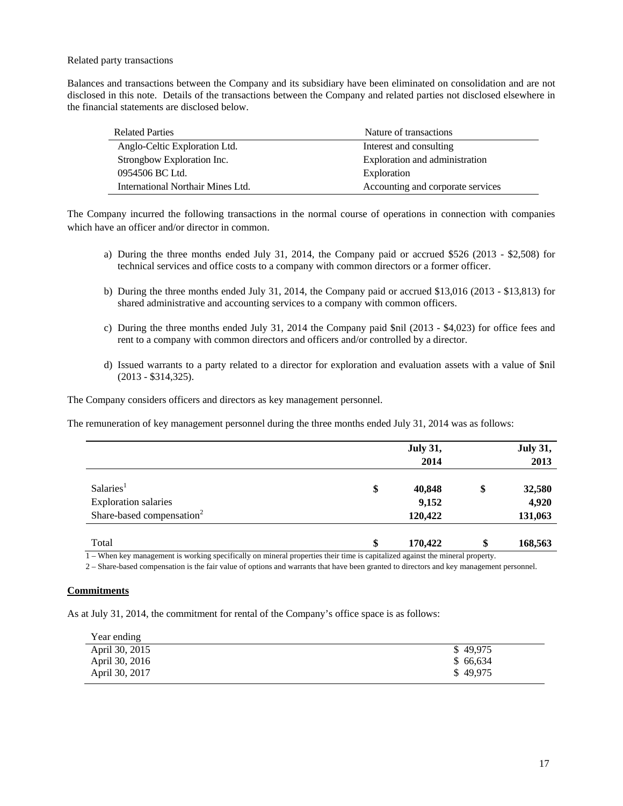Related party transactions

Balances and transactions between the Company and its subsidiary have been eliminated on consolidation and are not disclosed in this note. Details of the transactions between the Company and related parties not disclosed elsewhere in the financial statements are disclosed below.

| <b>Related Parties</b>            | Nature of transactions            |
|-----------------------------------|-----------------------------------|
| Anglo-Celtic Exploration Ltd.     | Interest and consulting           |
| Strongbow Exploration Inc.        | Exploration and administration    |
| 0954506 BC Ltd.                   | Exploration                       |
| International Northair Mines Ltd. | Accounting and corporate services |

The Company incurred the following transactions in the normal course of operations in connection with companies which have an officer and/or director in common.

- a) During the three months ended July 31, 2014, the Company paid or accrued \$526 (2013 \$2,508) for technical services and office costs to a company with common directors or a former officer.
- b) During the three months ended July 31, 2014, the Company paid or accrued \$13,016 (2013 \$13,813) for shared administrative and accounting services to a company with common officers.
- c) During the three months ended July 31, 2014 the Company paid \$nil (2013 \$4,023) for office fees and rent to a company with common directors and officers and/or controlled by a director.
- d) Issued warrants to a party related to a director for exploration and evaluation assets with a value of \$nil (2013 - \$314,325).

The Company considers officers and directors as key management personnel.

The remuneration of key management personnel during the three months ended July 31, 2014 was as follows:

|                                       | <b>July 31,</b> | <b>July 31,</b> |
|---------------------------------------|-----------------|-----------------|
|                                       | 2014            | 2013            |
|                                       |                 |                 |
| Salaries <sup>1</sup>                 | \$<br>40,848    | \$<br>32,580    |
| <b>Exploration salaries</b>           | 9,152           | 4,920           |
| Share-based compensation <sup>2</sup> | 120,422         | 131,063         |
|                                       |                 |                 |
| Total                                 | \$<br>170,422   | \$<br>168,563   |

1 – When key management is working specifically on mineral properties their time is capitalized against the mineral property.

2 – Share-based compensation is the fair value of options and warrants that have been granted to directors and key management personnel.

#### **Commitments**

As at July 31, 2014, the commitment for rental of the Company's office space is as follows:

| Year ending    |          |
|----------------|----------|
| April 30, 2015 | \$49.975 |
| April 30, 2016 | \$66,634 |
| April 30, 2017 | \$49,975 |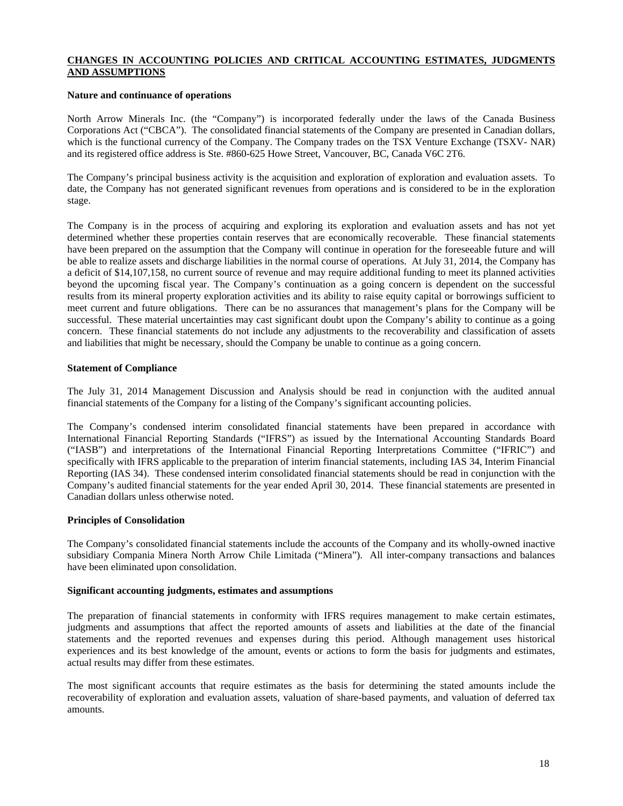# **CHANGES IN ACCOUNTING POLICIES AND CRITICAL ACCOUNTING ESTIMATES, JUDGMENTS AND ASSUMPTIONS**

# **Nature and continuance of operations**

North Arrow Minerals Inc. (the "Company") is incorporated federally under the laws of the Canada Business Corporations Act ("CBCA"). The consolidated financial statements of the Company are presented in Canadian dollars, which is the functional currency of the Company. The Company trades on the TSX Venture Exchange (TSXV- NAR) and its registered office address is Ste. #860-625 Howe Street, Vancouver, BC, Canada V6C 2T6.

The Company's principal business activity is the acquisition and exploration of exploration and evaluation assets. To date, the Company has not generated significant revenues from operations and is considered to be in the exploration stage.

The Company is in the process of acquiring and exploring its exploration and evaluation assets and has not yet determined whether these properties contain reserves that are economically recoverable. These financial statements have been prepared on the assumption that the Company will continue in operation for the foreseeable future and will be able to realize assets and discharge liabilities in the normal course of operations. At July 31, 2014, the Company has a deficit of \$14,107,158, no current source of revenue and may require additional funding to meet its planned activities beyond the upcoming fiscal year. The Company's continuation as a going concern is dependent on the successful results from its mineral property exploration activities and its ability to raise equity capital or borrowings sufficient to meet current and future obligations. There can be no assurances that management's plans for the Company will be successful. These material uncertainties may cast significant doubt upon the Company's ability to continue as a going concern. These financial statements do not include any adjustments to the recoverability and classification of assets and liabilities that might be necessary, should the Company be unable to continue as a going concern.

# **Statement of Compliance**

The July 31, 2014 Management Discussion and Analysis should be read in conjunction with the audited annual financial statements of the Company for a listing of the Company's significant accounting policies.

The Company's condensed interim consolidated financial statements have been prepared in accordance with International Financial Reporting Standards ("IFRS") as issued by the International Accounting Standards Board ("IASB") and interpretations of the International Financial Reporting Interpretations Committee ("IFRIC") and specifically with IFRS applicable to the preparation of interim financial statements, including IAS 34, Interim Financial Reporting (IAS 34). These condensed interim consolidated financial statements should be read in conjunction with the Company's audited financial statements for the year ended April 30, 2014. These financial statements are presented in Canadian dollars unless otherwise noted.

# **Principles of Consolidation**

The Company's consolidated financial statements include the accounts of the Company and its wholly-owned inactive subsidiary Compania Minera North Arrow Chile Limitada ("Minera"). All inter-company transactions and balances have been eliminated upon consolidation.

#### **Significant accounting judgments, estimates and assumptions**

The preparation of financial statements in conformity with IFRS requires management to make certain estimates, judgments and assumptions that affect the reported amounts of assets and liabilities at the date of the financial statements and the reported revenues and expenses during this period. Although management uses historical experiences and its best knowledge of the amount, events or actions to form the basis for judgments and estimates, actual results may differ from these estimates.

The most significant accounts that require estimates as the basis for determining the stated amounts include the recoverability of exploration and evaluation assets, valuation of share-based payments, and valuation of deferred tax amounts.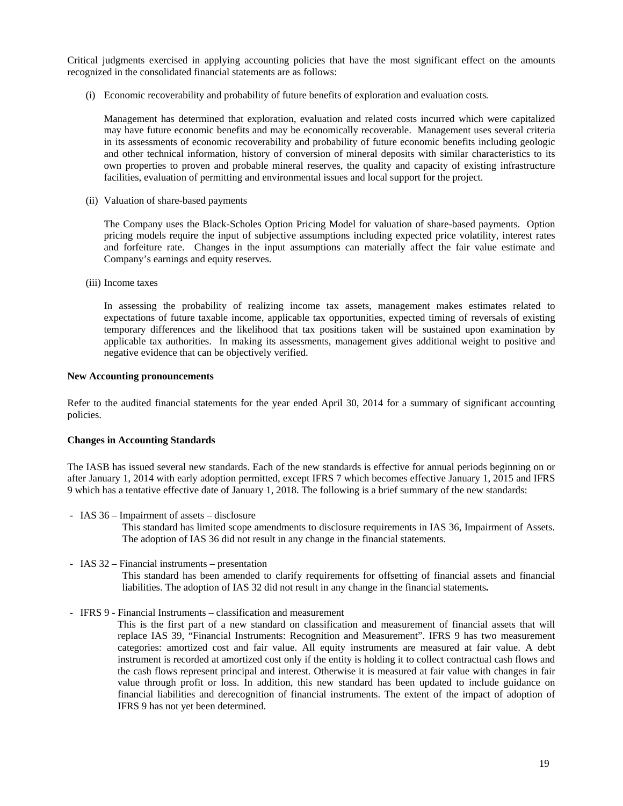Critical judgments exercised in applying accounting policies that have the most significant effect on the amounts recognized in the consolidated financial statements are as follows:

(i) Economic recoverability and probability of future benefits of exploration and evaluation costs*.* 

 Management has determined that exploration, evaluation and related costs incurred which were capitalized may have future economic benefits and may be economically recoverable. Management uses several criteria in its assessments of economic recoverability and probability of future economic benefits including geologic and other technical information, history of conversion of mineral deposits with similar characteristics to its own properties to proven and probable mineral reserves, the quality and capacity of existing infrastructure facilities, evaluation of permitting and environmental issues and local support for the project.

(ii) Valuation of share-based payments

The Company uses the Black-Scholes Option Pricing Model for valuation of share-based payments. Option pricing models require the input of subjective assumptions including expected price volatility, interest rates and forfeiture rate. Changes in the input assumptions can materially affect the fair value estimate and Company's earnings and equity reserves.

(iii) Income taxes

In assessing the probability of realizing income tax assets, management makes estimates related to expectations of future taxable income, applicable tax opportunities, expected timing of reversals of existing temporary differences and the likelihood that tax positions taken will be sustained upon examination by applicable tax authorities. In making its assessments, management gives additional weight to positive and negative evidence that can be objectively verified.

#### **New Accounting pronouncements**

Refer to the audited financial statements for the year ended April 30, 2014 for a summary of significant accounting policies.

#### **Changes in Accounting Standards**

The IASB has issued several new standards. Each of the new standards is effective for annual periods beginning on or after January 1, 2014 with early adoption permitted, except IFRS 7 which becomes effective January 1, 2015 and IFRS 9 which has a tentative effective date of January 1, 2018. The following is a brief summary of the new standards:

*-* IAS 36 – Impairment of assets – disclosure

This standard has limited scope amendments to disclosure requirements in IAS 36, Impairment of Assets. The adoption of IAS 36 did not result in any change in the financial statements.

*-* IAS 32 – Financial instruments – presentation

This standard has been amended to clarify requirements for offsetting of financial assets and financial liabilities. The adoption of IAS 32 did not result in any change in the financial statements**.** 

*-* IFRS 9 - Financial Instruments – classification and measurement

This is the first part of a new standard on classification and measurement of financial assets that will replace IAS 39, "Financial Instruments: Recognition and Measurement". IFRS 9 has two measurement categories: amortized cost and fair value. All equity instruments are measured at fair value. A debt instrument is recorded at amortized cost only if the entity is holding it to collect contractual cash flows and the cash flows represent principal and interest. Otherwise it is measured at fair value with changes in fair value through profit or loss. In addition, this new standard has been updated to include guidance on financial liabilities and derecognition of financial instruments. The extent of the impact of adoption of IFRS 9 has not yet been determined.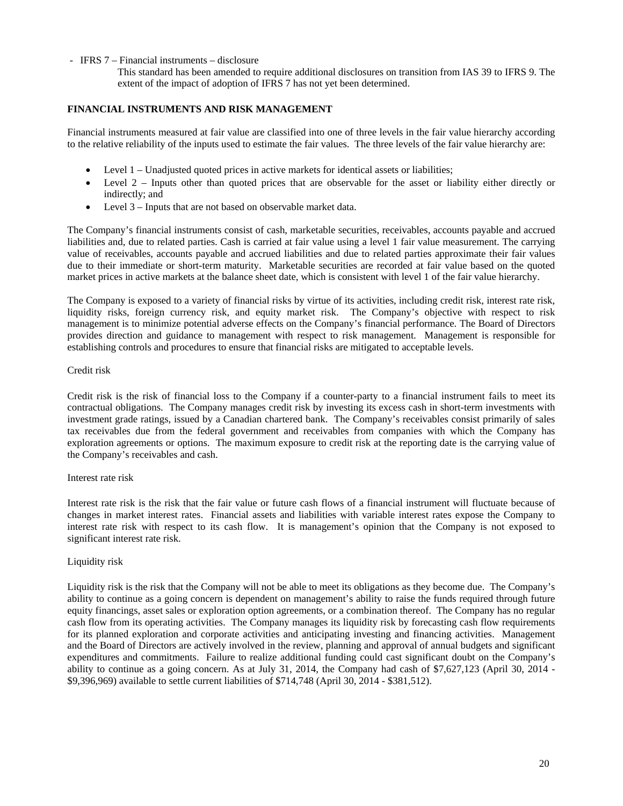# *-* IFRS 7 – Financial instruments – disclosure

This standard has been amended to require additional disclosures on transition from IAS 39 to IFRS 9. The extent of the impact of adoption of IFRS 7 has not yet been determined.

# **FINANCIAL INSTRUMENTS AND RISK MANAGEMENT**

Financial instruments measured at fair value are classified into one of three levels in the fair value hierarchy according to the relative reliability of the inputs used to estimate the fair values. The three levels of the fair value hierarchy are:

- Level 1 Unadjusted quoted prices in active markets for identical assets or liabilities;
- Level 2 Inputs other than quoted prices that are observable for the asset or liability either directly or indirectly; and
- Level 3 Inputs that are not based on observable market data.

The Company's financial instruments consist of cash, marketable securities, receivables, accounts payable and accrued liabilities and, due to related parties. Cash is carried at fair value using a level 1 fair value measurement. The carrying value of receivables, accounts payable and accrued liabilities and due to related parties approximate their fair values due to their immediate or short-term maturity. Marketable securities are recorded at fair value based on the quoted market prices in active markets at the balance sheet date, which is consistent with level 1 of the fair value hierarchy.

The Company is exposed to a variety of financial risks by virtue of its activities, including credit risk, interest rate risk, liquidity risks, foreign currency risk, and equity market risk. The Company's objective with respect to risk management is to minimize potential adverse effects on the Company's financial performance. The Board of Directors provides direction and guidance to management with respect to risk management. Management is responsible for establishing controls and procedures to ensure that financial risks are mitigated to acceptable levels.

#### Credit risk

Credit risk is the risk of financial loss to the Company if a counter-party to a financial instrument fails to meet its contractual obligations. The Company manages credit risk by investing its excess cash in short-term investments with investment grade ratings, issued by a Canadian chartered bank. The Company's receivables consist primarily of sales tax receivables due from the federal government and receivables from companies with which the Company has exploration agreements or options. The maximum exposure to credit risk at the reporting date is the carrying value of the Company's receivables and cash.

#### Interest rate risk

Interest rate risk is the risk that the fair value or future cash flows of a financial instrument will fluctuate because of changes in market interest rates. Financial assets and liabilities with variable interest rates expose the Company to interest rate risk with respect to its cash flow. It is management's opinion that the Company is not exposed to significant interest rate risk.

#### Liquidity risk

Liquidity risk is the risk that the Company will not be able to meet its obligations as they become due. The Company's ability to continue as a going concern is dependent on management's ability to raise the funds required through future equity financings, asset sales or exploration option agreements, or a combination thereof. The Company has no regular cash flow from its operating activities. The Company manages its liquidity risk by forecasting cash flow requirements for its planned exploration and corporate activities and anticipating investing and financing activities. Management and the Board of Directors are actively involved in the review, planning and approval of annual budgets and significant expenditures and commitments. Failure to realize additional funding could cast significant doubt on the Company's ability to continue as a going concern. As at July 31, 2014, the Company had cash of \$7,627,123 (April 30, 2014 - \$9,396,969) available to settle current liabilities of \$714,748 (April 30, 2014 - \$381,512).